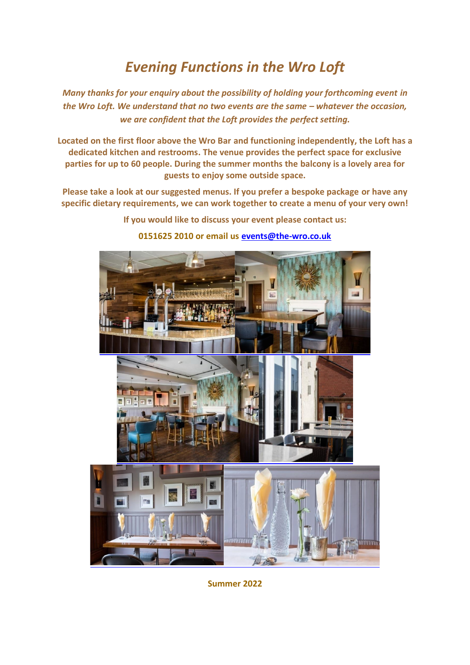## *Evening Functions in the Wro Loft*

*Many thanks for your enquiry about the possibility of holding your forthcoming event in the* Wro Loft. We understand that no two events are the same – whatever the occasion, *we are confident that the Loft provides the perfect setting.*

**Located on the first floor above the Wro Bar and functioning independently, the Loft has a dedicated kitchen and restrooms. The venue provides the perfect space for exclusive parties for up to 60 people. During the summer months the balcony is a lovely area for guests to enjoy some outside space.**

**Please take a look at our suggested menus. If you prefer a bespoke package or have any specific dietary requirements, we can work together to create a menu of your very own!**

**If you would like to discuss your event please contact us:** 

## **0151625 2010 or email us [events@the-wro.co.uk](mailto:events@the-wro.co.uk)**



**Summer 2022**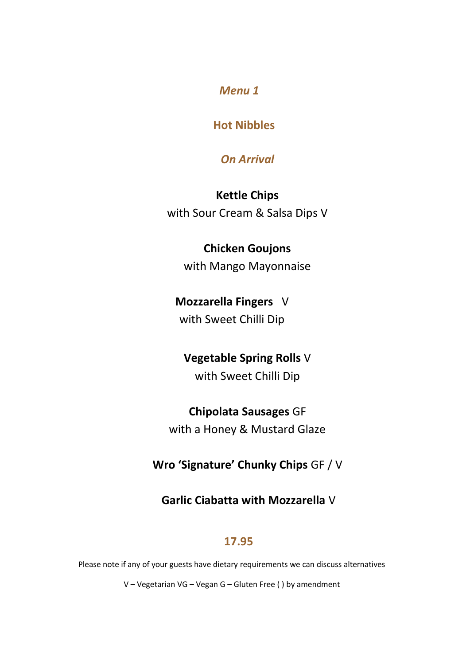## **Hot Nibbles**

## *On Arrival*

**Kettle Chips**  with Sour Cream & Salsa Dips V

# **Chicken Goujons**

with Mango Mayonnaise

## **Mozzarella Fingers** V with Sweet Chilli Dip

## **Vegetable Spring Rolls** V

with Sweet Chilli Dip

## **Chipolata Sausages** GF

with a Honey & Mustard Glaze

## **Wro 'Signature' Chunky Chips** GF / V

## **Garlic Ciabatta with Mozzarella** V

## **17.95**

Please note if any of your guests have dietary requirements we can discuss alternatives

V – Vegetarian VG – Vegan G – Gluten Free ( ) by amendment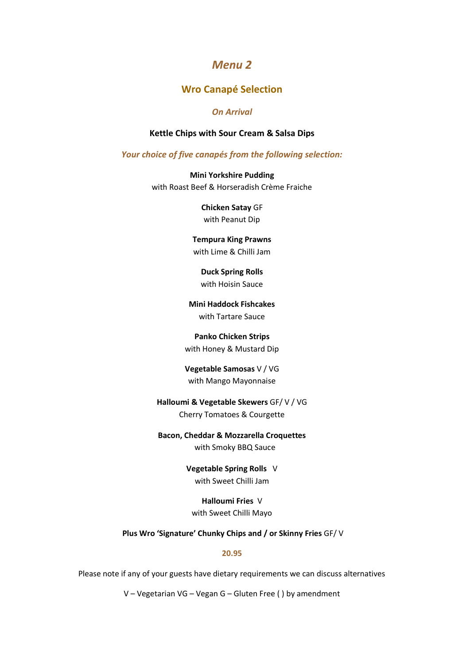#### **Wro Canapé Selection**

#### *On Arrival*

#### **Kettle Chips with Sour Cream & Salsa Dips**

*Your choice of five canapés from the following selection:*

**Mini Yorkshire Pudding** with Roast Beef & Horseradish Crème Fraiche

> **Chicken Satay** GF with Peanut Dip

**Tempura King Prawns** with Lime & Chilli Jam

**Duck Spring Rolls** with Hoisin Sauce

**Mini Haddock Fishcakes** with Tartare Sauce

#### **Panko Chicken Strips**

with Honey & Mustard Dip

**Vegetable Samosas** V / VG with Mango Mayonnaise

**Halloumi & Vegetable Skewers** GF/ V / VG Cherry Tomatoes & Courgette

**Bacon, Cheddar & Mozzarella Croquettes**  with Smoky BBQ Sauce

> **Vegetable Spring Rolls** V with Sweet Chilli Jam

**Halloumi Fries** V with Sweet Chilli Mayo

**Plus Wro 'Signature' Chunky Chips and / or Skinny Fries** GF/ V

#### **20.95**

Please note if any of your guests have dietary requirements we can discuss alternatives

V – Vegetarian VG – Vegan G – Gluten Free ( ) by amendment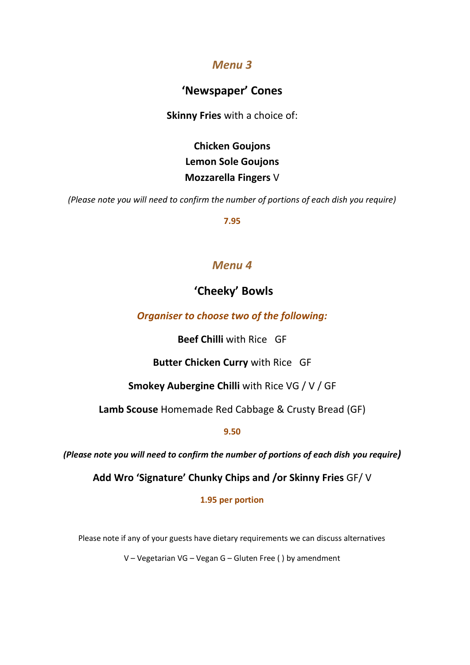## **'Newspaper' Cones**

**Skinny Fries** with a choice of:

**Chicken Goujons Lemon Sole Goujons Mozzarella Fingers** V

*(Please note you will need to confirm the number of portions of each dish you require)*

**7.95**

### *Menu 4*

## **'Cheeky' Bowls**

*Organiser to choose two of the following:*

**Beef Chilli** with Rice GF

**Butter Chicken Curry** with Rice GF

**Smokey Aubergine Chilli** with Rice VG / V / GF

**Lamb Scouse** Homemade Red Cabbage & Crusty Bread (GF)

**9.50**

*(Please note you will need to confirm the number of portions of each dish you require)*

**Add Wro 'Signature' Chunky Chips and /or Skinny Fries** GF/ V

**1.95 per portion**

Please note if any of your guests have dietary requirements we can discuss alternatives

V – Vegetarian VG – Vegan G – Gluten Free ( ) by amendment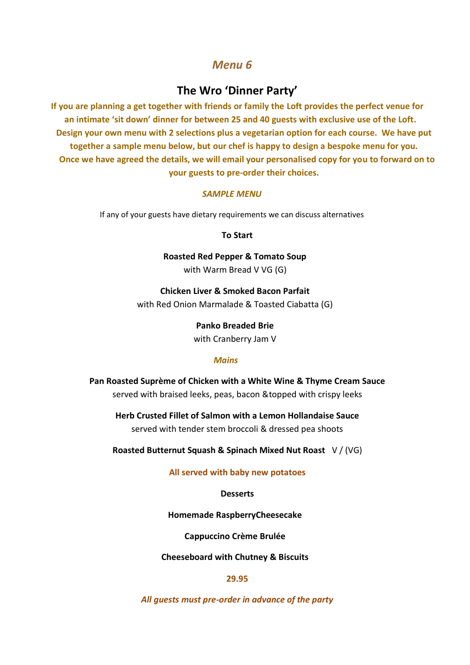#### **The Wro 'Dinner Party'**

**If you are planning a get together with friends or family the Loft provides the perfect venue for an intimate 'sit down' dinner for between 25 and 40 guests with exclusive use of the Loft. Design your own menu with 2 selections plus a vegetarian option for each course. We have put together a sample menu below, but our chef is happy to design a bespoke menu for you. Once we have agreed the details, we will email your personalised copy for you to forward on to your guests to pre-order their choices.**

#### *SAMPLE MENU*

If any of your guests have dietary requirements we can discuss alternatives

**To Start** 

**Roasted Red Pepper & Tomato Soup** 

with Warm Bread V VG (G)

**Chicken Liver & Smoked Bacon Parfait**  with Red Onion Marmalade & Toasted Ciabatta (G)

**Panko Breaded Brie** 

with Cranberry Jam V

#### *Mains*

**Pan Roasted Suprème of Chicken with a White Wine & Thyme Cream Sauce** served with braised leeks, peas, bacon &topped with crispy leeks

**Herb Crusted Fillet of Salmon with a Lemon Hollandaise Sauce** served with tender stem broccoli & dressed pea shoots

**Roasted Butternut Squash & Spinach Mixed Nut Roast** V / (VG)

**All served with baby new potatoes**

#### **Desserts**

**Homemade RaspberryCheesecake**

**Cappuccino Crème Brulée**

**Cheeseboard with Chutney & Biscuits**

#### **29.95**

*All guests must pre-order in advance of the party*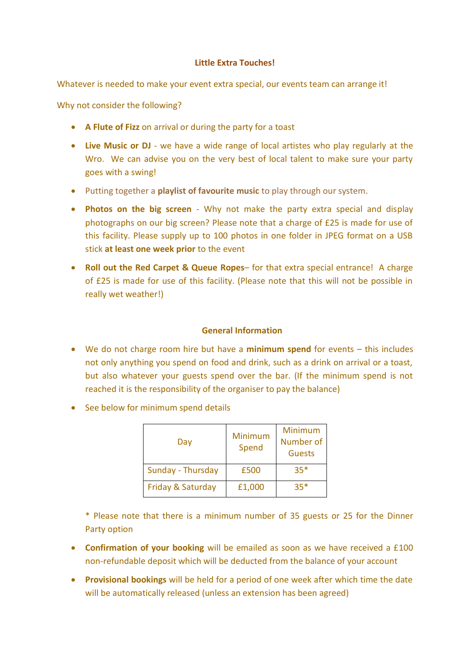#### **Little Extra Touches!**

Whatever is needed to make your event extra special, our events team can arrange it!

Why not consider the following?

- **A Flute of Fizz** on arrival or during the party for a toast
- **Live Music or DJ** we have a wide range of local artistes who play regularly at the Wro. We can advise you on the very best of local talent to make sure your party goes with a swing!
- Putting together a **playlist of favourite music** to play through our system.
- **Photos on the big screen** Why not make the party extra special and display photographs on our big screen? Please note that a charge of £25 is made for use of this facility. Please supply up to 100 photos in one folder in JPEG format on a USB stick **at least one week prior** to the event
- **Roll out the Red Carpet & Queue Ropes** for that extra special entrance! A charge of £25 is made for use of this facility. (Please note that this will not be possible in really wet weather!)

#### **General Information**

- We do not charge room hire but have a **minimum spend** for events this includes not only anything you spend on food and drink, such as a drink on arrival or a toast, but also whatever your guests spend over the bar. (If the minimum spend is not reached it is the responsibility of the organiser to pay the balance)
- See below for minimum spend details

| Day               | Minimum<br>Spend | Minimum<br>Number of<br><b>Guests</b> |
|-------------------|------------------|---------------------------------------|
| Sunday - Thursday | £500             | $35*$                                 |
| Friday & Saturday | £1,000           | $35*$                                 |

\* Please note that there is a minimum number of 35 guests or 25 for the Dinner Party option

- **Confirmation of your booking** will be emailed as soon as we have received a £100 non-refundable deposit which will be deducted from the balance of your account
- **Provisional bookings** will be held for a period of one week after which time the date will be automatically released (unless an extension has been agreed)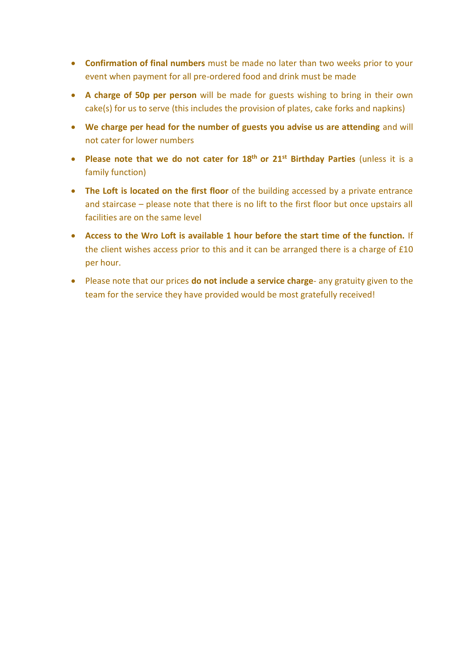- **Confirmation of final numbers** must be made no later than two weeks prior to your event when payment for all pre-ordered food and drink must be made
- **A charge of 50p per person** will be made for guests wishing to bring in their own cake(s) for us to serve (this includes the provision of plates, cake forks and napkins)
- **We charge per head for the number of guests you advise us are attending** and will not cater for lower numbers
- **Please note that we do not cater for 18th or 21st Birthday Parties** (unless it is a family function)
- **The Loft is located on the first floor** of the building accessed by a private entrance and staircase – please note that there is no lift to the first floor but once upstairs all facilities are on the same level
- **Access to the Wro Loft is available 1 hour before the start time of the function.** If the client wishes access prior to this and it can be arranged there is a charge of £10 per hour.
- Please note that our prices **do not include a service charge** any gratuity given to the team for the service they have provided would be most gratefully received!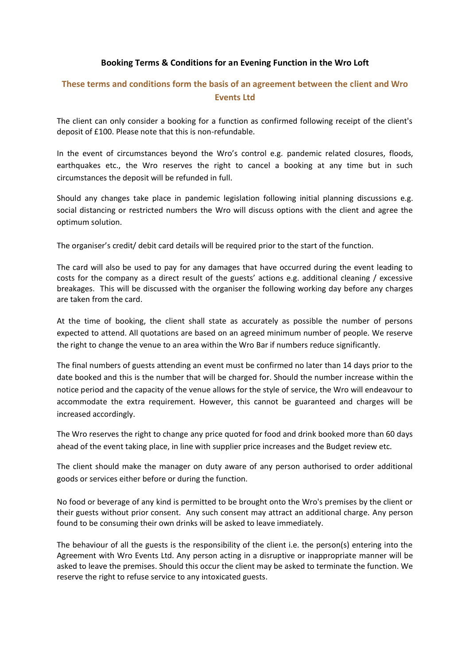#### **Booking Terms & Conditions for an Evening Function in the Wro Loft**

#### **These terms and conditions form the basis of an agreement between the client and Wro Events Ltd**

The client can only consider a booking for a function as confirmed following receipt of the client's deposit of £100. Please note that this is non-refundable.

In the event of circumstances beyond the Wro's control e.g. pandemic related closures, floods, earthquakes etc., the Wro reserves the right to cancel a booking at any time but in such circumstances the deposit will be refunded in full.

Should any changes take place in pandemic legislation following initial planning discussions e.g. social distancing or restricted numbers the Wro will discuss options with the client and agree the optimum solution.

The organiser's credit/ debit card details will be required prior to the start of the function.

The card will also be used to pay for any damages that have occurred during the event leading to costs for the company as a direct result of the guests' actions e.g. additional cleaning / excessive breakages. This will be discussed with the organiser the following working day before any charges are taken from the card.

At the time of booking, the client shall state as accurately as possible the number of persons expected to attend. All quotations are based on an agreed minimum number of people. We reserve the right to change the venue to an area within the Wro Bar if numbers reduce significantly.

The final numbers of guests attending an event must be confirmed no later than 14 days prior to the date booked and this is the number that will be charged for. Should the number increase within the notice period and the capacity of the venue allows for the style of service, the Wro will endeavour to accommodate the extra requirement. However, this cannot be guaranteed and charges will be increased accordingly.

The Wro reserves the right to change any price quoted for food and drink booked more than 60 days ahead of the event taking place, in line with supplier price increases and the Budget review etc.

The client should make the manager on duty aware of any person authorised to order additional goods or services either before or during the function.

No food or beverage of any kind is permitted to be brought onto the Wro's premises by the client or their guests without prior consent. Any such consent may attract an additional charge. Any person found to be consuming their own drinks will be asked to leave immediately.

The behaviour of all the guests is the responsibility of the client i.e. the person(s) entering into the Agreement with Wro Events Ltd. Any person acting in a disruptive or inappropriate manner will be asked to leave the premises. Should this occur the client may be asked to terminate the function. We reserve the right to refuse service to any intoxicated guests.